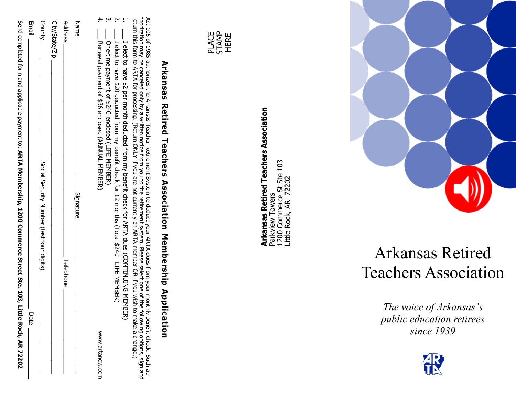| Send completed form and applicable payment to: ARTA Membership, 1200 Commerce Street Ste. 103, Li<br>ittle Rock, AR 72202                                                                                                                                                                                                                                                                                                                                                        |                                      |
|----------------------------------------------------------------------------------------------------------------------------------------------------------------------------------------------------------------------------------------------------------------------------------------------------------------------------------------------------------------------------------------------------------------------------------------------------------------------------------|--------------------------------------|
| Date                                                                                                                                                                                                                                                                                                                                                                                                                                                                             | <b>Email</b>                         |
| Social Security Number (last four digits)                                                                                                                                                                                                                                                                                                                                                                                                                                        | County                               |
|                                                                                                                                                                                                                                                                                                                                                                                                                                                                                  | City/State/Zip                       |
| Telephone                                                                                                                                                                                                                                                                                                                                                                                                                                                                        | Address                              |
| Signature                                                                                                                                                                                                                                                                                                                                                                                                                                                                        | Name                                 |
| I elect of pave \$20 deducted from my benefit check for 1/2 months (Total \$240—LIFE MEMBER)<br>Renewal payment of \$36 enclosed (ANNUAL MEMBER)<br>One-time payment of \$240 enclosed (LIFE MEMBER)<br>WWW.artanow.com                                                                                                                                                                                                                                                          | 4.<br>$\dot{\mathbf{c}}$<br>Ņ.       |
| Act 105 of 1985 authorizes the Arkansas Teacher Retirement System to deduct your ARTA dues from your montth<br>thorization may be canceled only by a written notice from you to the retirement system. Please select one of the following options, sign and<br>return this form to ARTA for processing. (Return ONLY if you are not currently an<br>I elect to have \$2 per month deducted from my benefit check for ARTA dues (CONTINUING MEMBER)<br>ly benefit check. Such au- | ۳                                    |
| <b>Arkansas Retired Teachers Association Membership Applicum</b><br>cation                                                                                                                                                                                                                                                                                                                                                                                                       |                                      |
|                                                                                                                                                                                                                                                                                                                                                                                                                                                                                  |                                      |
|                                                                                                                                                                                                                                                                                                                                                                                                                                                                                  | <b>STAMP</b><br><b>PLACE</b><br>HERE |

**Arkansas Retired Teachers Association**

**Arkansas Retired Teachers Association**<br>Parkview Towers<br>1200 Commerce St Ste 103<br>Little Rock, AR 72202

Parkview Towers

1200 Commerce St Ste 103 Little Rock, AR 72202



## Arkansas Retired Teachers Association

*The voice of Arkansas 's public education retirees since 1939*